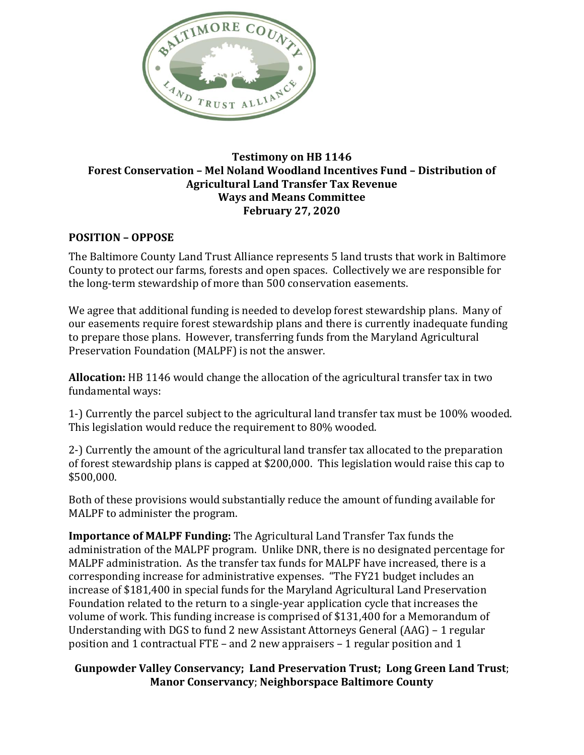

## **Testimony on HB 1146 Forest Conservation – Mel Noland Woodland Incentives Fund – Distribution of Agricultural Land Transfer Tax Revenue Ways and Means Committee February 27, 2020**

## **POSITION – OPPOSE**

The Baltimore County Land Trust Alliance represents 5 land trusts that work in Baltimore County to protect our farms, forests and open spaces. Collectively we are responsible for the long-term stewardship of more than 500 conservation easements.

We agree that additional funding is needed to develop forest stewardship plans. Many of our easements require forest stewardship plans and there is currently inadequate funding to prepare those plans. However, transferring funds from the Maryland Agricultural Preservation Foundation (MALPF) is not the answer.

**Allocation:** HB 1146 would change the allocation of the agricultural transfer tax in two fundamental ways:

1-) Currently the parcel subject to the agricultural land transfer tax must be 100% wooded. This legislation would reduce the requirement to 80% wooded.

2-) Currently the amount of the agricultural land transfer tax allocated to the preparation of forest stewardship plans is capped at \$200,000. This legislation would raise this cap to \$500,000.

Both of these provisions would substantially reduce the amount of funding available for MALPF to administer the program.

**Importance of MALPF Funding:** The Agricultural Land Transfer Tax funds the administration of the MALPF program. Unlike DNR, there is no designated percentage for MALPF administration. As the transfer tax funds for MALPF have increased, there is a corresponding increase for administrative expenses. "The FY21 budget includes an increase of \$181,400 in special funds for the Maryland Agricultural Land Preservation Foundation related to the return to a single-year application cycle that increases the volume of work. This funding increase is comprised of \$131,400 for a Memorandum of Understanding with DGS to fund 2 new Assistant Attorneys General (AAG) – 1 regular position and 1 contractual FTE – and 2 new appraisers – 1 regular position and 1

## **Gunpowder Valley Conservancy; Land Preservation Trust; Long Green Land Trust**; **Manor Conservancy**; **Neighborspace Baltimore County**